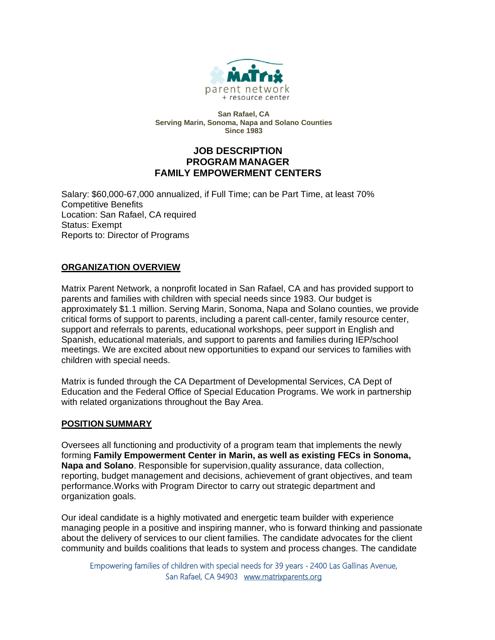

**San Rafael, CA Serving Marin, Sonoma, Napa and Solano Counties Since 1983**

# **JOB DESCRIPTION PROGRAM MANAGER FAMILY EMPOWERMENT CENTERS**

Salary: \$60,000-67,000 annualized, if Full Time; can be Part Time, at least 70% Competitive Benefits Location: San Rafael, CA required Status: Exempt Reports to: Director of Programs

## **ORGANIZATION OVERVIEW**

Matrix Parent Network, a nonprofit located in San Rafael, CA and has provided support to parents and families with children with special needs since 1983. Our budget is approximately \$1.1 million. Serving Marin, Sonoma, Napa and Solano counties, we provide critical forms of support to parents, including a parent call-center, family resource center, support and referrals to parents, educational workshops, peer support in English and Spanish, educational materials, and support to parents and families during IEP/school meetings. We are excited about new opportunities to expand our services to families with children with special needs.

Matrix is funded through the CA Department of Developmental Services, CA Dept of Education and the Federal Office of Special Education Programs. We work in partnership with related organizations throughout the Bay Area.

# **POSITION SUMMARY**

Oversees all functioning and productivity of a program team that implements the newly forming **Family Empowerment Center in Marin, as well as existing FECs in Sonoma, Napa and Solano**. Responsible for supervision,quality assurance, data collection, reporting, budget management and decisions, achievement of grant objectives, and team performance.Works with Program Director to carry out strategic department and organization goals.

Our ideal candidate is a highly motivated and energetic team builder with experience managing people in a positive and inspiring manner, who is forward thinking and passionate about the delivery of services to our client families. The candidate advocates for the client community and builds coalitions that leads to system and process changes. The candidate

Empowering families of children with special needs for 39 years **-** 2400 Las Gallinas Avenue, San Rafael, CA 94903[www.matrixparents.org](http://www.matrixparents.org/)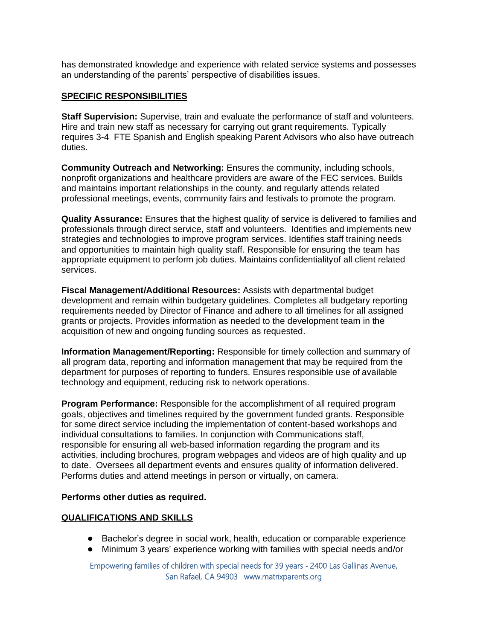has demonstrated knowledge and experience with related service systems and possesses an understanding of the parents' perspective of disabilities issues.

#### **SPECIFIC RESPONSIBILITIES**

**Staff Supervision:** Supervise, train and evaluate the performance of staff and volunteers. Hire and train new staff as necessary for carrying out grant requirements. Typically requires 3-4 FTE Spanish and English speaking Parent Advisors who also have outreach duties.

**Community Outreach and Networking:** Ensures the community, including schools, nonprofit organizations and healthcare providers are aware of the FEC services. Builds and maintains important relationships in the county, and regularly attends related professional meetings, events, community fairs and festivals to promote the program.

**Quality Assurance:** Ensures that the highest quality of service is delivered to families and professionals through direct service, staff and volunteers. Identifies and implements new strategies and technologies to improve program services. Identifies staff training needs and opportunities to maintain high quality staff. Responsible for ensuring the team has appropriate equipment to perform job duties. Maintains confidentialityof all client related services.

**Fiscal Management/Additional Resources:** Assists with departmental budget development and remain within budgetary guidelines. Completes all budgetary reporting requirements needed by Director of Finance and adhere to all timelines for all assigned grants or projects. Provides information as needed to the development team in the acquisition of new and ongoing funding sources as requested.

**Information Management/Reporting:** Responsible for timely collection and summary of all program data, reporting and information management that may be required from the department for purposes of reporting to funders. Ensures responsible use of available technology and equipment, reducing risk to network operations.

**Program Performance:** Responsible for the accomplishment of all required program goals, objectives and timelines required by the government funded grants. Responsible for some direct service including the implementation of content-based workshops and individual consultations to families. In conjunction with Communications staff, responsible for ensuring all web-based information regarding the program and its activities, including brochures, program webpages and videos are of high quality and up to date. Oversees all department events and ensures quality of information delivered. Performs duties and attend meetings in person or virtually, on camera.

#### **Performs other duties as required.**

#### **QUALIFICATIONS AND SKILLS**

- Bachelor's degree in social work, health, education or comparable experience
- Minimum 3 years' experience working with families with special needs and/or

Empowering families of children with special needs for 39 years **-** 2400 Las Gallinas Avenue, San Rafael, CA 94903[www.matrixparents.org](http://www.matrixparents.org/)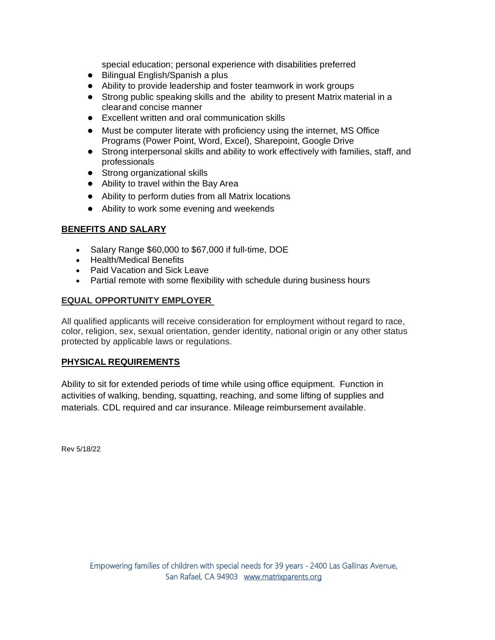special education; personal experience with disabilities preferred

- Bilingual English/Spanish a plus
- Ability to provide leadership and foster teamwork in work groups
- Strong public speaking skills and the ability to present Matrix material in a clear and concise manner
- Excellent written and oral communication skills
- Must be computer literate with proficiency using the internet, MS Office Programs (Power Point, Word, Excel), Sharepoint, Google Drive
- Strong interpersonal skills and ability to work effectively with families, staff, and professionals
- Strong organizational skills
- Ability to travel within the Bay Area
- Ability to perform duties from all Matrix locations
- Ability to work some evening and weekends

## **BENEFITS AND SALARY**

- Salary Range \$60,000 to \$67,000 if full-time, DOE
- Health/Medical Benefits
- Paid Vacation and Sick Leave
- Partial remote with some flexibility with schedule during business hours

### **EQUAL OPPORTUNITY EMPLOYER**

All qualified applicants will receive consideration for employment without regard to race, color, religion, sex, sexual orientation, gender identity, national origin or any other status protected by applicable laws or regulations.

### **PHYSICAL REQUIREMENTS**

Ability to sit for extended periods of time while using office equipment. Function in activities of walking, bending, squatting, reaching, and some lifting of supplies and materials. CDL required and car insurance. Mileage reimbursement available.

Rev 5/18/22